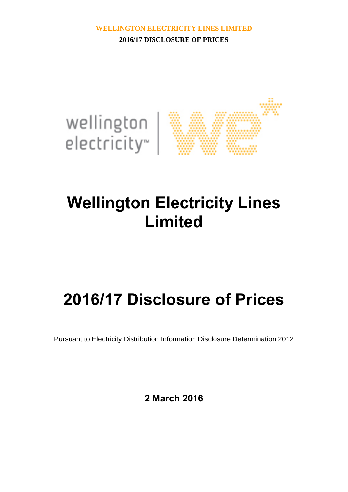

# **Wellington Electricity Lines Limited**

# **2016/17 Disclosure of Prices**

Pursuant to Electricity Distribution Information Disclosure Determination 2012

**2 March 2016**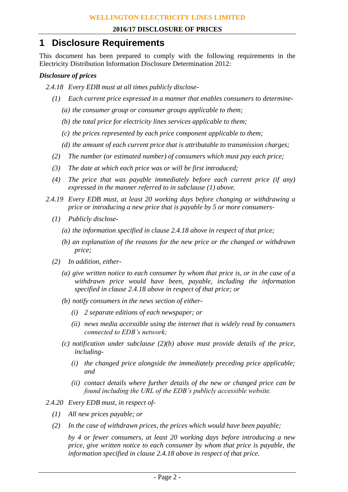# **1 Disclosure Requirements**

This document has been prepared to comply with the following requirements in the Electricity Distribution Information Disclosure Determination 2012:

### *Disclosure of prices*

- *2.4.18 Every EDB must at all times publicly disclose-*
	- *(1) Each current price expressed in a manner that enables consumers to determine-*
		- *(a) the consumer group or consumer groups applicable to them;*
		- *(b) the total price for electricity lines services applicable to them;*
		- *(c) the prices represented by each price component applicable to them;*
		- *(d) the amount of each current price that is attributable to transmission charges;*
	- *(2) The number (or estimated number) of consumers which must pay each price;*
	- *(3) The date at which each price was or will be first introduced;*
	- *(4) The price that was payable immediately before each current price (if any) expressed in the manner referred to in subclause (1) above.*
- *2.4.19 Every EDB must, at least 20 working days before changing or withdrawing a price or introducing a new price that is payable by 5 or more consumers-*
	- *(1) Publicly disclose-*
		- *(a) the information specified in clause 2.4.18 above in respect of that price;*
		- *(b) an explanation of the reasons for the new price or the changed or withdrawn price;*
	- *(2) In addition, either-*
		- *(a) give written notice to each consumer by whom that price is, or in the case of a withdrawn price would have been, payable, including the information specified in clause 2.4.18 above in respect of that price; or*
		- *(b) notify consumers in the news section of either-*
			- *(i) 2 separate editions of each newspaper; or*
			- *(ii) news media accessible using the internet that is widely read by consumers connected to EDB's network;*
		- *(c) notification under subclause (2)(b) above must provide details of the price, including-*
			- *(i) the changed price alongside the immediately preceding price applicable; and*
			- *(ii) contact details where further details of the new or changed price can be found including the URL of the EDB's publicly accessible website.*
- *2.4.20 Every EDB must, in respect of-*
	- *(1) All new prices payable; or*
	- *(2) In the case of withdrawn prices, the prices which would have been payable;*

*by 4 or fewer consumers, at least 20 working days before introducing a new price, give written notice to each consumer by whom that price is payable, the information specified in clause 2.4.18 above in respect of that price.*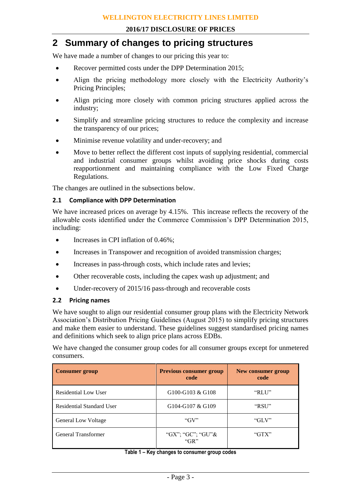## **2 Summary of changes to pricing structures**

We have made a number of changes to our pricing this year to:

- Recover permitted costs under the DPP Determination 2015;
- Align the pricing methodology more closely with the Electricity Authority's Pricing Principles;
- Align pricing more closely with common pricing structures applied across the industry;
- Simplify and streamline pricing structures to reduce the complexity and increase the transparency of our prices;
- Minimise revenue volatility and under-recovery; and
- Move to better reflect the different cost inputs of supplying residential, commercial and industrial consumer groups whilst avoiding price shocks during costs reapportionment and maintaining compliance with the Low Fixed Charge Regulations.

The changes are outlined in the subsections below.

#### **2.1 Compliance with DPP Determination**

We have increased prices on average by 4.15%. This increase reflects the recovery of the allowable costs identified under the Commerce Commission's DPP Determination 2015, including:

- Increases in CPI inflation of 0.46%;
- Increases in Transpower and recognition of avoided transmission charges;
- Increases in pass-through costs, which include rates and levies;
- Other recoverable costs, including the capex wash up adjustment; and
- Under-recovery of 2015/16 pass-through and recoverable costs

#### **2.2 Pricing names**

We have sought to align our residential consumer group plans with the Electricity Network Association's Distribution Pricing Guidelines (August 2015) to simplify pricing structures and make them easier to understand. These guidelines suggest standardised pricing names and definitions which seek to align price plans across EDBs.

We have changed the consumer group codes for all consumer groups except for unmetered consumers.

| <b>Consumer group</b>       | <b>Previous consumer group</b><br>code | New consumer group<br>code |  |  |
|-----------------------------|----------------------------------------|----------------------------|--|--|
| <b>Residential Low User</b> | G100-G103 & G108                       | "RLU"                      |  |  |
| Residential Standard User   | G104-G107 & G109                       | "RSU"                      |  |  |
| <b>General Low Voltage</b>  | " $GV"$                                | " $GLV"$                   |  |  |
| <b>General Transformer</b>  | "GX"; "GC"; "GU"&<br>" $GR"$           | " $GTX"$                   |  |  |

#### **Table 1 – Key changes to consumer group codes**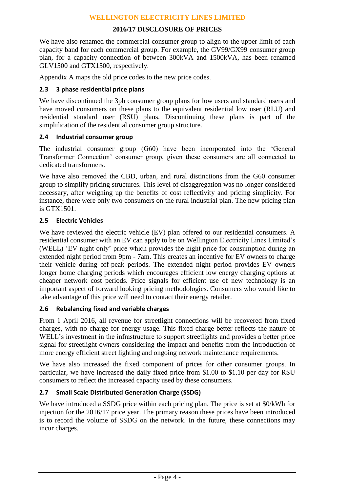We have also renamed the commercial consumer group to align to the upper limit of each capacity band for each commercial group. For example, the GV99/GX99 consumer group plan, for a capacity connection of between 300kVA and 1500kVA, has been renamed GLV1500 and GTX1500, respectively.

Appendix A maps the old price codes to the new price codes.

#### **2.3 3 phase residential price plans**

We have discontinued the 3ph consumer group plans for low users and standard users and have moved consumers on these plans to the equivalent residential low user (RLU) and residential standard user (RSU) plans. Discontinuing these plans is part of the simplification of the residential consumer group structure.

#### **2.4 Industrial consumer group**

The industrial consumer group (G60) have been incorporated into the 'General Transformer Connection' consumer group, given these consumers are all connected to dedicated transformers.

We have also removed the CBD, urban, and rural distinctions from the G60 consumer group to simplify pricing structures. This level of disaggregation was no longer considered necessary, after weighing up the benefits of cost reflectivity and pricing simplicity. For instance, there were only two consumers on the rural industrial plan. The new pricing plan is GTX1501.

#### **2.5 Electric Vehicles**

We have reviewed the electric vehicle (EV) plan offered to our residential consumers. A residential consumer with an EV can apply to be on Wellington Electricity Lines Limited's (WELL) 'EV night only' price which provides the night price for consumption during an extended night period from 9pm - 7am. This creates an incentive for EV owners to charge their vehicle during off-peak periods. The extended night period provides EV owners longer home charging periods which encourages efficient low energy charging options at cheaper network cost periods. Price signals for efficient use of new technology is an important aspect of forward looking pricing methodologies. Consumers who would like to take advantage of this price will need to contact their energy retailer.

#### **2.6 Rebalancing fixed and variable charges**

From 1 April 2016, all revenue for streetlight connections will be recovered from fixed charges, with no charge for energy usage. This fixed charge better reflects the nature of WELL's investment in the infrastructure to support streetlights and provides a better price signal for streetlight owners considering the impact and benefits from the introduction of more energy efficient street lighting and ongoing network maintenance requirements.

We have also increased the fixed component of prices for other consumer groups. In particular, we have increased the daily fixed price from \$1.00 to \$1.10 per day for RSU consumers to reflect the increased capacity used by these consumers.

#### **2.7 Small Scale Distributed Generation Charge (SSDG)**

We have introduced a SSDG price within each pricing plan. The price is set at \$0/kWh for injection for the 2016/17 price year. The primary reason these prices have been introduced is to record the volume of SSDG on the network. In the future, these connections may incur charges.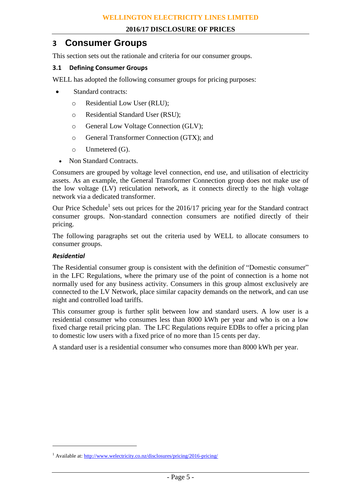## **3 Consumer Groups**

This section sets out the rationale and criteria for our consumer groups.

#### **3.1 Defining Consumer Groups**

WELL has adopted the following consumer groups for pricing purposes:

- Standard contracts:
	- o Residential Low User (RLU);
	- o Residential Standard User (RSU);
	- o General Low Voltage Connection (GLV);
	- o General Transformer Connection (GTX); and
	- o Unmetered (G).
	- Non Standard Contracts.

Consumers are grouped by voltage level connection, end use, and utilisation of electricity assets. As an example, the General Transformer Connection group does not make use of the low voltage (LV) reticulation network, as it connects directly to the high voltage network via a dedicated transformer.

Our Price Schedule<sup>1</sup> sets out prices for the 2016/17 pricing year for the Standard contract consumer groups. Non-standard connection consumers are notified directly of their pricing.

The following paragraphs set out the criteria used by WELL to allocate consumers to consumer groups.

#### *Residential*

 $\overline{a}$ 

The Residential consumer group is consistent with the definition of "Domestic consumer" in the LFC Regulations, where the primary use of the point of connection is a home not normally used for any business activity. Consumers in this group almost exclusively are connected to the LV Network, place similar capacity demands on the network, and can use night and controlled load tariffs.

This consumer group is further split between low and standard users. A low user is a residential consumer who consumes less than 8000 kWh per year and who is on a low fixed charge retail pricing plan. The LFC Regulations require EDBs to offer a pricing plan to domestic low users with a fixed price of no more than 15 cents per day.

A standard user is a residential consumer who consumes more than 8000 kWh per year.

<sup>&</sup>lt;sup>1</sup> Available at[: http://www.welectricity.co.nz/disclosures/pricing/2016-pricing/](http://www.welectricity.co.nz/disclosures/pricing/2016-pricing/)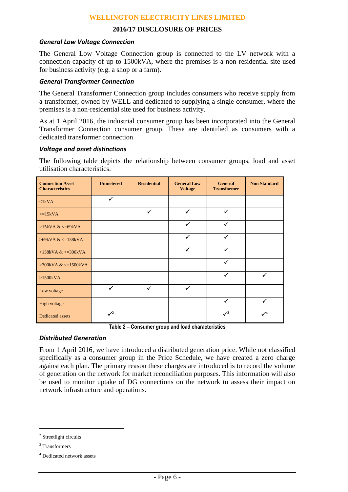#### *General Low Voltage Connection*

The General Low Voltage Connection group is connected to the LV network with a connection capacity of up to 1500kVA, where the premises is a non-residential site used for business activity (e.g. a shop or a farm).

#### *General Transformer Connection*

The General Transformer Connection group includes consumers who receive supply from a transformer, owned by WELL and dedicated to supplying a single consumer, where the premises is a non-residential site used for business activity.

As at 1 April 2016, the industrial consumer group has been incorporated into the General Transformer Connection consumer group. These are identified as consumers with a dedicated transformer connection.

#### *Voltage and asset distinctions*

The following table depicts the relationship between consumer groups, load and asset utilisation characteristics.

| <b>Connection Asset</b><br><b>Characteristics</b> | <b>Unmetered</b> | <b>Residential</b> | <b>General Low</b><br><b>Voltage</b> | <b>General</b><br><b>Transformer</b> | <b>Non Standard</b> |
|---------------------------------------------------|------------------|--------------------|--------------------------------------|--------------------------------------|---------------------|
| $\langle$ 1kVA                                    | $\checkmark$     |                    |                                      |                                      |                     |
| $\leq$ 15kVA                                      |                  | $\checkmark$       | ✓                                    | ✓                                    |                     |
| $>15kVA <=69kVA$                                  |                  |                    | $\checkmark$                         | ✓                                    |                     |
| $>69kVA <=138kVA$                                 |                  |                    | ✓                                    | ✓                                    |                     |
| $>138kVA <=300kVA$                                |                  |                    | ✓                                    | ✓                                    |                     |
| $>300$ kVA & $\leq 1500$ kVA                      |                  |                    |                                      |                                      |                     |
| $>1500kVA$                                        |                  |                    |                                      | ✓                                    | ✓                   |
| Low voltage                                       | $\checkmark$     | $\checkmark$       | $\checkmark$                         |                                      |                     |
| High voltage                                      |                  |                    |                                      | ✓                                    |                     |
| <b>Dedicated assets</b>                           | $\sqrt{2}$       |                    |                                      | $\sqrt{3}$                           | $\sqrt{4}$          |

**Table 2 – Consumer group and load characteristics**

#### *Distributed Generation*

From 1 April 2016, we have introduced a distributed generation price. While not classified specifically as a consumer group in the Price Schedule, we have created a zero charge against each plan. The primary reason these charges are introduced is to record the volume of generation on the network for market reconciliation purposes. This information will also be used to monitor uptake of DG connections on the network to assess their impact on network infrastructure and operations.

 $\overline{a}$ 

<sup>&</sup>lt;sup>2</sup> Streetlight circuits

<sup>3</sup> Transformers

<sup>4</sup> Dedicated network assets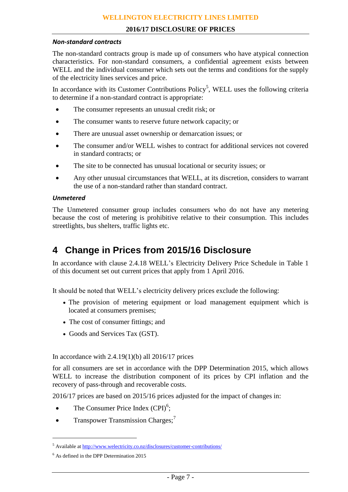#### *Non-standard contracts*

The non-standard contracts group is made up of consumers who have atypical connection characteristics. For non-standard consumers, a confidential agreement exists between WELL and the individual consumer which sets out the terms and conditions for the supply of the electricity lines services and price.

In accordance with its Customer Contributions  $Policy<sup>5</sup>$ , WELL uses the following criteria to determine if a non-standard contract is appropriate:

- The consumer represents an unusual credit risk; or
- The consumer wants to reserve future network capacity; or
- There are unusual asset ownership or demarcation issues; or
- The consumer and/or WELL wishes to contract for additional services not covered in standard contracts; or
- The site to be connected has unusual locational or security issues; or
- Any other unusual circumstances that WELL, at its discretion, considers to warrant the use of a non-standard rather than standard contract.

#### *Unmetered*

The Unmetered consumer group includes consumers who do not have any metering because the cost of metering is prohibitive relative to their consumption. This includes streetlights, bus shelters, traffic lights etc.

# **4 Change in Prices from 2015/16 Disclosure**

In accordance with clause 2.4.18 WELL's Electricity Delivery Price Schedule in Table 1 of this document set out current prices that apply from 1 April 2016.

It should be noted that WELL's electricity delivery prices exclude the following:

- The provision of metering equipment or load management equipment which is located at consumers premises;
- The cost of consumer fittings; and
- Goods and Services Tax (GST).

In accordance with  $2.4.19(1)(b)$  all  $2016/17$  prices

for all consumers are set in accordance with the DPP Determination 2015, which allows WELL to increase the distribution component of its prices by CPI inflation and the recovery of pass-through and recoverable costs.

2016/17 prices are based on 2015/16 prices adjusted for the impact of changes in:

- The Consumer Price Index  $(CPI)^6$ ;
- Transpower Transmission Charges;<sup>7</sup>

 $\overline{a}$ 

<sup>5</sup> Available at<http://www.welectricity.co.nz/disclosures/customer-contributions/>

<sup>6</sup> As defined in the DPP Determination 2015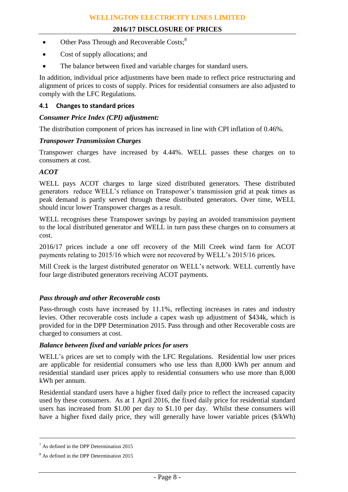- $\bullet$  Other Pass Through and Recoverable Costs;<sup>8</sup>
- Cost of supply allocations; and
- The balance between fixed and variable charges for standard users.

In addition, individual price adjustments have been made to reflect price restructuring and alignment of prices to costs of supply. Prices for residential consumers are also adjusted to comply with the LFC Regulations.

#### **4.1 Changes to standard prices**

#### *Consumer Price Index (CPI) adjustment:*

The distribution component of prices has increased in line with CPI inflation of 0.46%.

#### *Transpower Transmission Charges*

Transpower charges have increased by 4.44%. WELL passes these charges on to consumers at cost.

#### *ACOT*

WELL pays ACOT charges to large sized distributed generators. These distributed generators reduce WELL's reliance on Transpower's transmission grid at peak times as peak demand is partly served through these distributed generators. Over time, WELL should incur lower Transpower charges as a result.

WELL recognises these Transpower savings by paying an avoided transmission payment to the local distributed generator and WELL in turn pass these charges on to consumers at cost.

2016/17 prices include a one off recovery of the Mill Creek wind farm for ACOT payments relating to 2015/16 which were not recovered by WELL's 2015/16 prices.

Mill Creek is the largest distributed generator on WELL's network. WELL currently have four large distributed generators receiving ACOT payments.

#### *Pass through and other Recoverable costs*

Pass-through costs have increased by 11.1%, reflecting increases in rates and industry levies. Other recoverable costs include a capex wash up adjustment of \$434k, which is provided for in the DPP Determination 2015. Pass through and other Recoverable costs are charged to consumers at cost.

#### *Balance between fixed and variable prices for users*

WELL's prices are set to comply with the LFC Regulations. Residential low user prices are applicable for residential consumers who use less than 8,000 kWh per annum and residential standard user prices apply to residential consumers who use more than 8,000 kWh per annum.

Residential standard users have a higher fixed daily price to reflect the increased capacity used by these consumers. As at 1 April 2016, the fixed daily price for residential standard users has increased from \$1.00 per day to \$1.10 per day. Whilst these consumers will have a higher fixed daily price, they will generally have lower variable prices (\$/kWh)

<u>.</u>

 $<sup>7</sup>$  As defined in the DPP Determination 2015</sup>

<sup>8</sup> As defined in the DPP Determination 2015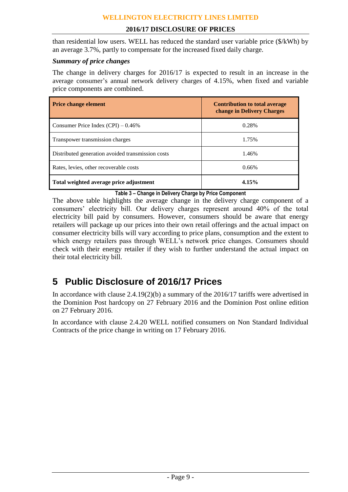#### **WELLINGTON ELECTRICITY LINES LIMITED**

#### **2016/17 DISCLOSURE OF PRICES**

than residential low users. WELL has reduced the standard user variable price (\$/kWh) by an average 3.7%, partly to compensate for the increased fixed daily charge.

## *Summary of price changes*

The change in delivery charges for 2016/17 is expected to result in an increase in the average consumer's annual network delivery charges of 4.15%, when fixed and variable price components are combined.

| <b>Price change element</b>                       | <b>Contribution to total average</b><br>change in Delivery Charges |
|---------------------------------------------------|--------------------------------------------------------------------|
| Consumer Price Index $(CPI) - 0.46\%$             | 0.28%                                                              |
| Transpower transmission charges                   | 1.75%                                                              |
| Distributed generation avoided transmission costs | 1.46%                                                              |
| Rates, levies, other recoverable costs            | 0.66%                                                              |
| Total weighted average price adjustment           | 4.15%                                                              |

**Table 3 – Change in Delivery Charge by Price Component**

The above table highlights the average change in the delivery charge component of a consumers' electricity bill. Our delivery charges represent around 40% of the total electricity bill paid by consumers. However, consumers should be aware that energy retailers will package up our prices into their own retail offerings and the actual impact on consumer electricity bills will vary according to price plans, consumption and the extent to which energy retailers pass through WELL's network price changes. Consumers should check with their energy retailer if they wish to further understand the actual impact on their total electricity bill.

# **5 Public Disclosure of 2016/17 Prices**

In accordance with clause 2.4.19(2)(b) a summary of the 2016/17 tariffs were advertised in the Dominion Post hardcopy on 27 February 2016 and the Dominion Post online edition on 27 February 2016.

In accordance with clause 2.4.20 WELL notified consumers on Non Standard Individual Contracts of the price change in writing on 17 February 2016.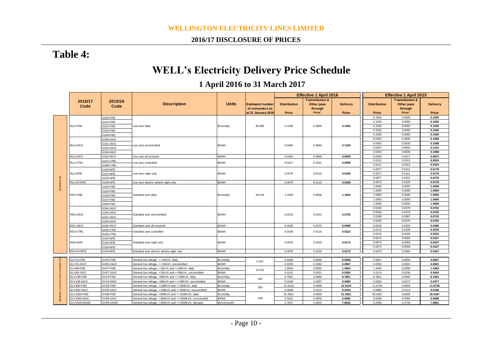#### **WELLINGTON ELECTRICITY LINES LIMITED**

#### **2016/17 DISCLOSURE OF PRICES**

# **Table 4:**

# **WELL's Electricity Delivery Price Schedule**

# **1 April 2016 to 31 March 2017**

|                       |                   |                        |                                                           |              |                         |                     | <b>Effective 1 April 2016</b> |                 |                     | <b>Effective 1 April 2015</b> |                  |
|-----------------------|-------------------|------------------------|-----------------------------------------------------------|--------------|-------------------------|---------------------|-------------------------------|-----------------|---------------------|-------------------------------|------------------|
|                       | 2016/17           | 2015/16                |                                                           |              |                         |                     | <b>Transmission &amp;</b>     |                 |                     | <b>Transmission &amp;</b>     |                  |
|                       | Code              | Code                   | <b>Description</b>                                        | <b>Units</b> | <b>Estimated number</b> | <b>Distribution</b> | Other pass                    | <b>Delivery</b> | <b>Distribution</b> | Other pass                    | <b>Delivery</b>  |
|                       |                   |                        |                                                           |              | of consumers as         |                     | through                       |                 |                     | through                       |                  |
|                       |                   |                        |                                                           |              | at 31 January 2016      | Price               | Price <sup>1</sup>            | Price           | Price               | <b>Price</b>                  | Price            |
|                       |                   | G100-FIXD              |                                                           |              |                         |                     |                               |                 | 0.1500              | 0.0000                        | 0.1500           |
|                       |                   | G101-FIXD              |                                                           |              |                         |                     |                               |                 | 0.1500              | 0.0000                        | 0.1500           |
|                       | RLU-FIXD          | 3102-FIXD              | Low user daily                                            | \$/con/day   | 90,499                  | 0.1500              | 0.0000                        | 0.1500          | 0.1500              | 0.0000                        | 0.1500           |
|                       |                   | G103-FIXD              |                                                           |              |                         |                     |                               |                 | 0.1500              | 0.0000                        | 0.1500           |
|                       |                   | 3108-FIXD              |                                                           |              |                         |                     |                               |                 | 0.1500              | 0.0000                        | 0.1500           |
|                       |                   | G100-24UC              |                                                           |              |                         |                     |                               |                 | 0.0453              | 0.0635                        | 0.1088           |
|                       | RLU-24UC          | G101-24UC              | Low user uncontrolled                                     | \$/kWh       |                         | 0.0464              | 0.0694                        | 0.1158          | 0.0453              | 0.0635                        | 0.1088           |
|                       |                   | G103-24UC              |                                                           |              |                         |                     |                               |                 | 0.0457              | 0.0644                        | 0.1101           |
|                       |                   | G108-24UC              |                                                           |              |                         |                     |                               |                 | 0.0453              | 0.0635                        | 0.1088           |
|                       | RLU-AICO          | G102-AICO              | Low user all inclusive                                    | \$/kWh       |                         | 0.0364              | 0.0565                        | 0.0929          | 0.0355              | 0.0517                        | 0.0872           |
|                       | RLU-CTRL          | G101-CTRL              | ow user controlled                                        | \$/kWh       |                         | 0.0217              | 0.0341                        | 0.0558          | 0.0212              | 0.0312                        | 0.0524           |
|                       |                   | G108-CTRL              |                                                           |              |                         |                     |                               |                 | 0.0212              | 0.0312                        | 0.0524           |
|                       |                   | G100-NITE              |                                                           |              |                         |                     |                               |                 | 0.0077              | 0.0101                        | 0.0178           |
|                       | RLU-NITE          | G101-NITE              | Low user night only                                       | \$/kWh       |                         | 0.0079              | 0.0110                        | 0.0189          | 0.0077              | 0.0101                        | 0.0178           |
|                       |                   | 3102-NITE              |                                                           |              |                         |                     |                               |                 | 0.0077              | 0.0101                        | 0.0178           |
| RESIDENTIAL           | RLU-EVNITE        | G108-NITE              | Low user electric vehicle night only                      | \$/kWh       |                         | 0.0079              | 0.0110                        | 0.0189          | 0.0073              | 0.0105                        | 0.0178           |
|                       |                   | G104-FIXD              |                                                           |              |                         |                     |                               |                 | 1.0000              | 0.0000                        | 1.0000           |
|                       |                   | G105-FIXD              |                                                           |              |                         |                     |                               |                 | 1.0000              | 0.0000                        | 1.0000           |
|                       | RSU-FIXD          | G106-FIXD              | Standard user daily                                       | \$/con/day   | 59,243                  | 1.1000              | 0.0000                        | 1.1000          | 1.0000              | 0.0000                        | 1.0000           |
|                       |                   | G107-FIXD              |                                                           |              |                         |                     |                               |                 | 1.0000              | 0.0000                        | 1.0000           |
|                       |                   | G109-FIXD              |                                                           |              |                         |                     |                               |                 | 1.0000              | 0.0000                        | 1.0000           |
|                       |                   | G104-24UC              |                                                           |              |                         |                     |                               |                 | 0.0326              | 0.0376                        | 0.0702           |
|                       | RSU-24UC          | G105-24UC              | Standard user uncontrolled                                | \$/kWh       |                         | 0.0313              | 0.0412                        | 0.0725          | 0.0326              | 0.0376                        | 0.0702           |
|                       |                   | G107-24UC              |                                                           |              |                         |                     |                               |                 | 0.0338              | 0.0387                        | 0.0725           |
|                       |                   | G109-24UC              |                                                           |              |                         |                     |                               |                 | 0.0326              | 0.0376                        | 0.0702           |
|                       | RSU-AICO          | G106-AICO              | Standard user all inclusive                               | \$/kWh       |                         | 0.0226              | 0.0273                        | 0.0499          | 0.0236<br>0.0110    | 0.0250<br>0.0106              | 0.0486<br>0.0216 |
|                       | <b>RSU-CTRL</b>   | G105-CTRL              | Standard user controlled                                  | \$/kWh       |                         | 0.0106              | 0.0116                        | 0.0222          | 0.0110              | 0.0106                        | 0.0216           |
|                       |                   | G109-CTRL              |                                                           |              |                         |                     |                               |                 | 0.0073              | 0.0094                        | 0.0167           |
|                       | RSU-NITE          | G104-NITE              |                                                           | \$/kWh       |                         | 0.0070              | 0.0103                        | 0.0173          | 0.0073              | 0.0094                        | 0.0167           |
|                       |                   | G105-NITE              | Standard user night only                                  |              |                         |                     |                               |                 | 0.0073              | 0.0094                        | 0.0167           |
|                       | RSU-EVNITE        | G106-NITE<br>G109-NITE | Standard user electric vehicle night only                 | \$/kWh       |                         | 0.0070              | 0.0103                        | 0.0173          | 0.0073              | 0.0094                        | 0.0167           |
|                       |                   |                        |                                                           |              |                         |                     |                               |                 |                     |                               |                  |
|                       | GLV15-FIXD        | GV02-FIXD              | General low voltage, <= 15kVA, daily                      | \$/con/day   |                         | 0.6268              | 0.0000                        | 0.6268          | 0.5847              | 0.0000                        | 0.5847           |
|                       | <b>GLV15-24UC</b> | GV02-24UC              | General low voltage, <= 15kVA, uncontrolled               | \$/kWh       | 5,037                   | 0.0205              | 0.0362                        | 0.0567          | 0.0250              | 0.0331                        | 0.0581           |
|                       | GLV69-FIXD        | GV07-FIXD              | General low voltage, >15kVA and <= 69kVA, daily           | \$/con/day   |                         | 1.5504              | 0.0000                        | 1.5504          | 1.4463              | 0.0000                        | 1.4463           |
|                       | GLV69-24UC        | GV07-24UC              | General low voltage, >15kVA and <= 69kVA, uncontrolled    | \$/kWh       | 10,261                  | 0.0142              | 0.0251                        | 0.0393          | 0.0174              | 0.0230                        | 0.0404           |
| LOW VOLTAGE CONNECTIO | GLV138-FIXD       | GV14-FIXD              | General low voltage, >69kVA and <=138kVA, daily           | \$/con/day   |                         | 8.7851              | 0.0000                        | 8.7851          | 8.1951              | 0.0000                        | 8.1951           |
|                       | GLV138-24UC       | GV14-24UC              | General low voltage, >69kVA and <=138kVA, uncontrolled    | \$/kWh       | 404                     | 0.0168              | 0.0297                        | 0.0465          | 0.0205              | 0.0272                        | 0.0477           |
|                       | GLV300-FIXD       | GV30-FIXD              | General low voltage, >138kVA and <= 300kVA, daily         | \$/con/day   |                         | 12.5144             | 0.0000                        | 12.5144         | 11.6739             | 0.0000                        | 11.6739          |
|                       | GLV300-24UC       | GV30-24UC              | General low voltage, >138kVA and <= 300kVA, uncontrolled  | \$/kWh       | 309                     | 0.0069              | 0.0124                        | 0.0193          | 0.0085              | 0.0113                        | 0.0198           |
|                       | GLV1500-FIXD      | GV99-FIXD              | General low voltage, >300kVA and <= 1500kVA, daily        | \$/con/day   |                         | 31.5561             | 0.0000                        | 31.5561         | 29.4367             | 0.0000                        | 29.4367          |
| <b>GENERAL</b>        | GLV1500-24UC      | GV99-24UC              | General low voltage, >300kVA and <= 1500kVA, uncontrolled | \$/kWh       | 248                     | 0.0031              | 0.0055                        | 0.0086          | 0.0038              | 0.0050                        | 0.0088           |
|                       | GLV1500-DAMD      | GV99-DAMD              | General low voltage, >300kVA and <=1500kVA, demand        | \$/kVA/month |                         | 2.7627              | 4.8915                        | 7.6542          | 3.3768              | 4.4733                        | 7.8501           |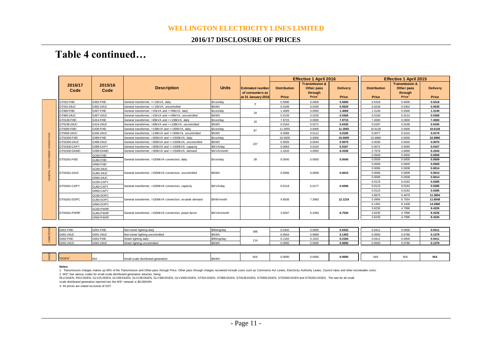#### **WELLINGTON ELECTRICITY LINES LIMITED**

#### **2016/17 DISCLOSURE OF PRICES**

# **Table 4 continued…**

|        |                 |                 |                                                          |               |                                                                  |                              | <b>Effective 1 April 2016</b>                                            |                          |                              | <b>Effective 1 April 2015</b>                                            |                          |        |
|--------|-----------------|-----------------|----------------------------------------------------------|---------------|------------------------------------------------------------------|------------------------------|--------------------------------------------------------------------------|--------------------------|------------------------------|--------------------------------------------------------------------------|--------------------------|--------|
|        | 2016/17<br>Code | 2015/16<br>Code | <b>Description</b>                                       | <b>Units</b>  | <b>Estimated number</b><br>of consumers as<br>at 31 January 2016 | <b>Distribution</b><br>Price | <b>Transmission &amp;</b><br>Other pass<br>through<br>Price <sup>1</sup> | <b>Delivery</b><br>Price | <b>Distribution</b><br>Price | <b>Transmission &amp;</b><br>Other pass<br>through<br>Price <sup>1</sup> | <b>Delivery</b><br>Price |        |
|        | GTX15-FIXD      | GX02-FIXD       | General transformer. <= 15kVA. daily                     | \$/con/dav    |                                                                  | 0.5690                       | 0.0000                                                                   | 0.5690                   | 0.5318                       | 0.0000                                                                   | 0.5318                   |        |
|        | GTX15-24UC      | GX02-24UC       | General transformer, <= 15kVA, uncontrolled              | \$/kWh        | $\mathbf{0}$                                                     | 0.0199                       | 0.0330                                                                   | 0.0529                   | 0.0228                       | 0.0302                                                                   | 0.0530                   |        |
|        | GTX69-FIXD      | GX07-FIXD       | General transformer, >15kVA and <= 69kVA, daily          | \$/con/dav    | 18                                                               | 1.4069                       | 0.0000                                                                   | 1.4069                   | 1.3149                       | 0.0000                                                                   | 1.3149                   |        |
|        | GTX69-24UC      | GX07-24UC       | General transformer, >15kVA and <= 69kVA, uncontrolled   | \$/kWh        |                                                                  | 0.0139                       | 0.0230                                                                   | 0.0369                   | 0.0158                       | 0.0210                                                                   | 0.0368                   |        |
|        | GTX138-FIXD     | GX14-FIXD       | General transformer, >69kVA and <= 138kVA, daily         | \$/con/dav    | 16                                                               | 7.9715                       | 0.0000                                                                   | 7.9715                   | 7.4500                       | 0.0000                                                                   | 7.4500                   |        |
|        | GTX138-24UC     | GX14-24UC       | General transformer, >69kVA and <=138kVA, uncontrolled   | \$/kWh        |                                                                  | 0.0164                       | 0.0271                                                                   | 0.0435                   | 0.0187                       | 0.0248                                                                   | 0.0435                   |        |
|        | GTX300-FIXD     | GX30-FIXD       | General transformer, >138kVA and <= 300kVA, daily        | \$/con/day    | 87                                                               | 11.3555                      | 0.0000                                                                   | 11.3555                  | 10.6126                      | 0.0000                                                                   | 10.6126                  |        |
|        | GTX300-24UC     | GX30-24UC       | General transformer, >138kVA and <= 300kVA, uncontrolled | \$/kWh        |                                                                  | 0.0068                       | 0.0112                                                                   | 0.0180                   | 0.0077                       | 0.0102                                                                   | 0.0179                   |        |
| ECTION | GTX1500-FIXD    | GX99-FIXD       | General transformer, >300kVA and <=1500kVA, daily        | \$/con/dav    |                                                                  | 24,5009                      | 0.0000                                                                   | 24.5009                  | 22,8980                      | 0.0000                                                                   | 22.8980                  |        |
|        | GTX1500-24UC    | GX99-24UC       | General transformer, >300kVA and <=1500kVA, uncontrolled | \$/kWh        | 237                                                              | 0.0026                       | 0.0044                                                                   | 0.0070                   | 0.0030                       | 0.0040                                                                   | 0.0070                   |        |
| CONN   | GTX1500-CAPY    | GX99-CAPY       | General transformer, >300kVA and <=1500kVA, capacity     | \$/kVA/dav    |                                                                  | 0.0063                       | 0.0104                                                                   | 0.0167                   | 0.0072                       | 0.0095                                                                   | 0.0167                   |        |
|        | GTX1500-DAMD    | GX99-DAMD       | General transformer, >300kVA and <=1500kVA, demand       | \$/kVA/month  |                                                                  | 2.4243                       | 4.0093                                                                   | 6.4336                   | 2.7678                       | 3.6666                                                                   | 6.4344                   |        |
|        |                 | GC60-FIXD       |                                                          |               |                                                                  |                              |                                                                          |                          |                              | 0.0509                                                                   | 0.0000                   | 0.0509 |
| FORI   | GTX1501-FIXD    | GU60-FIXD       | General transformer, >1500kVA connection, daily          | \$/con/day    | 39                                                               | 0.0545                       | 0.0000                                                                   | 0.0545                   | 0.0509                       | 0.0000                                                                   | 0.0509                   |        |
|        |                 | GR60-FIXD       |                                                          |               |                                                                  |                              |                                                                          |                          |                              | 0.0509                                                                   | 0.0000                   | 0.0509 |
|        |                 | GC60-24UC       |                                                          |               |                                                                  |                              |                                                                          |                          | 0.0006                       | 0.0008                                                                   | 0.0014                   |        |
|        | GTX1501-24UC    | GU60-24UC       | General transformer, >1500kVA connection, uncontrolled   | \$/kWh        |                                                                  | 0.0006                       | 0.0009                                                                   | 0.0015                   | 0.0006                       | 0.0008                                                                   | 0.0014                   |        |
| 곮      |                 | GR60-24UC       |                                                          |               |                                                                  |                              |                                                                          |                          | 0.0006                       | 0.0008                                                                   | 0.0014                   |        |
|        |                 | GC60-CAPY       |                                                          |               |                                                                  |                              |                                                                          |                          | 0.0123                       | 0.0162                                                                   | 0.0285                   |        |
|        | GTX1501-CAPY    | GU60-CAPY       | General transformer, >1500kVA connection, capacity       | \$/kVA/day    |                                                                  | 0.0119                       | 0.0177                                                                   | 0.0296                   | 0.0123                       | 0.0162                                                                   | 0.0285                   |        |
|        |                 | GR60-CAPY       |                                                          |               |                                                                  |                              |                                                                          |                          | 0.0123                       | 0.0162                                                                   | 0.0285                   |        |
|        |                 | GC60-DOPC       |                                                          |               |                                                                  |                              |                                                                          |                          | 4.8975                       | 6.4879                                                                   | 11.3854                  |        |
|        | GTX1501-DOPC    | GU60-DOPC       | General transformer, >1500kVA connection, on-peak demand | \$/kW/month   |                                                                  | 4.8536                       | 7.2683                                                                   | 12.1219                  | 5.0994                       | 6.7554                                                                   | 11.8548                  |        |
|        |                 | GR60-DOPC       |                                                          |               |                                                                  |                              |                                                                          |                          | 6.1452                       | 8.1408                                                                   | 14.2860                  |        |
|        |                 | GC60-PWRF       |                                                          |               |                                                                  |                              |                                                                          |                          | 3.6230                       | 4.7996                                                                   | 8.4226                   |        |
|        | GTX1501-PWRF    | GU60-PWRF       | General transformer, >1500kVA connection, power factor   | \$/kVAr/month |                                                                  | 3.5047                       | 5.2483                                                                   | 8.7530                   | 3.6230                       | 4.7996                                                                   | 8.4226                   |        |
|        |                 | GR60-PWRF       |                                                          |               |                                                                  |                              |                                                                          |                          | 3.6230                       | 4.7996                                                                   | 8.4226                   |        |
|        |                 |                 |                                                          |               |                                                                  |                              |                                                                          |                          |                              |                                                                          |                          |        |

| G001-FIXD | G001-FIXD | Non-street lighting dail.         | Q/fitting/dau<br>www.littlift.com | 0.0432 | 0.0000 | 0.0432    | 0.041  | 0.0000 | 0.0411 |
|-----------|-----------|-----------------------------------|-----------------------------------|--------|--------|-----------|--------|--------|--------|
| G001-24UC | G001-24UC | Non-street lighting uncontrolled  | \$/kWh                            | 0.054  | 0.0859 | $0.140$ ? | 0.0593 | 0.0786 | 0.1379 |
| G002-FIXD | G002-FIXD | Street i<br>lighting dail         | \$/fitting/dav                    | 0.1162 | 0.1022 | 0.2184    | 0.0411 | 0.0000 | 0.0411 |
| G002-24UC | G002-24UC | lighting uncontrolled<br>Street I | \$/kWh                            | 0.000C | 0.0000 | 0.0000    | 0.0593 | 0.0786 | 0.1379 |

| 111<br>$\sqrt{2}$ | <b>DGEN"</b> | <b>IN/A</b> | <b>Exterior of Opperation</b><br><b>ISMA</b> | \$/kWh | $\ddot{\phantom{1}}$<br>$\mathbf{w}$ | 0.0000 | 0.0000 | 0.0000 | N/A | <br>IVI | .<br><b>IVA</b> |
|-------------------|--------------|-------------|----------------------------------------------|--------|--------------------------------------|--------|--------|--------|-----|---------|-----------------|

#### **Notes:**

1. Transmission charges makes up 93% of the Transmission and Other pass through Price. Other pass through charges recovered include costs such as Commerce Act Levies, Electricity Authority Levies, Council rates and other r

RLU-DGEN, RSU-DGEN, GLV15-DGEN, GLV69-DGEN, GLV138-DGEN, GLV300-DGEN, GLV1500-DGEN, GTX15-DGEN, GTX69-DGEN, GTX138-DGEN, GTX300-DGEN, GTX1500-DGEN and GTX1501-DGEN. The rate for all small

scale distributed generation injected into the WE\* network is \$0.00/kWh.

3. All prices are stated exclusive of GST.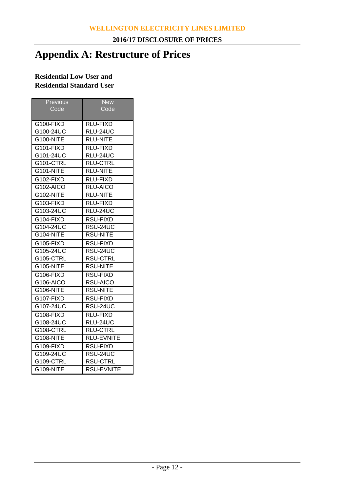# **Appendix A: Restructure of Prices**

## **Residential Low User and Residential Standard User**

| Previous         | <b>New</b>        |
|------------------|-------------------|
| Code             | Code              |
|                  |                   |
| G100-FIXD        | <b>RLU-FIXD</b>   |
| G100-24UC        | RLU-24UC          |
| G100-NITE        | RLU-NITE          |
| G101-FIXD        | RLU-FIXD          |
| G101-24UC        | RLU-24UC          |
| G101-CTRL        | <b>RLU-CTRL</b>   |
| <b>G101-NITE</b> | <b>RLU-NITE</b>   |
| G102-FIXD        | <b>RLU-FIXD</b>   |
| G102-AICO        | RLU-AICO          |
| <b>G102-NITE</b> | <b>RLU-NITE</b>   |
| G103-FIXD        | RLU-FIXD          |
| G103-24UC        | RLU-24UC          |
| G104-FIXD        | <b>RSU-FIXD</b>   |
| G104-24UC        | RSU-24UC          |
| G104-NITE        | RSU-NITE          |
| G105-FIXD        | RSU-FIXD          |
| G105-24UC        | RSU-24UC          |
| G105-CTRL        | <b>RSU-CTRL</b>   |
| <b>G105-NITE</b> | <b>RSU-NITE</b>   |
| G106-FIXD        | RSU-FIXD          |
| G106-AICO        | RSU-AICO          |
| G106-NITE        | RSU-NITE          |
| G107-FIXD        | <b>RSU-FIXD</b>   |
| G107-24UC        | RSU-24UC          |
| G108-FIXD        | RLU-FIXD          |
| G108-24UC        | RLU-24UC          |
| G108-CTRL        | <b>RLU-CTRL</b>   |
| <b>G108-NITE</b> | <b>RLU-EVNITE</b> |
| G109-FIXD        | RSU-FIXD          |
| G109-24UC        | RSU-24UC          |
| G109-CTRL        | <b>RSU-CTRL</b>   |
| <b>G109-NITE</b> | <b>RSU-EVNITE</b> |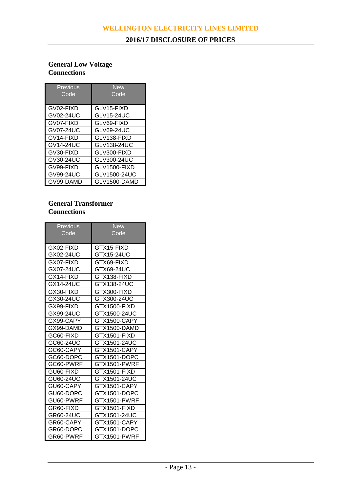## **General Low Voltage Connections**

| <b>Previous</b><br>Code | New<br>Code       |
|-------------------------|-------------------|
| GV02-FIXD               | GLV15-FIXD        |
| GV02-24UC               | <b>GLV15-24UC</b> |
| GV07-FIXD               | GLV69-FIXD        |
| GV07-24UC               | <b>GLV69-24UC</b> |
| GV14-FIXD               | GLV138-FIXD       |
| GV14-24UC               | GLV138-24UC       |
| GV30-FIXD               | GLV300-FIXD       |
| GV30-24UC               | GLV300-24UC       |
| GV99-FIXD               | GLV1500-FIXD      |
| GV99-24UC               | GLV1500-24UC      |
| GV99-DAMD               | GLV1500-DAMD      |

## **General Transformer Connections**

| <b>Previous</b> | <b>New</b>   |
|-----------------|--------------|
| Code            | Code         |
|                 |              |
| GX02-FIXD       | GTX15-FIXD   |
| GX02-24UC       | GTX15-24UC   |
| GX07-FIXD       | GTX69-FIXD   |
| GX07-24UC       | GTX69-24UC   |
| GX14-FIXD       | GTX138-FIXD  |
| GX14-24UC       | GTX138-24UC  |
| GX30-FIXD       | GTX300-FIXD  |
| GX30-24UC       | GTX300-24UC  |
| GX99-FIXD       | GTX1500-FIXD |
| GX99-24UC       | GTX1500-24UC |
| GX99-CAPY       | GTX1500-CAPY |
| GX99-DAMD       | GTX1500-DAMD |
| GC60-FIXD       | GTX1501-FIXD |
| GC60-24UC       | GTX1501-24UC |
| GC60-CAPY       | GTX1501-CAPY |
| GC60-DOPC       | GTX1501-DOPC |
| GC60-PWRF       | GTX1501-PWRF |
| GU60-FIXD       | GTX1501-FIXD |
| GU60-24UC       | GTX1501-24UC |
| GU60-CAPY       | GTX1501-CAPY |
| GU60-DOPC       | GTX1501-DOPC |
| GU60-PWRF       | GTX1501-PWRF |
| GR60-FIXD       | GTX1501-FIXD |
| GR60-24UC       | GTX1501-24UC |
| GR60-CAPY       | GTX1501-CAPY |
| GR60-DOPC       | GTX1501-DOPC |
| GR60-PWRF       | GTX1501-PWRF |